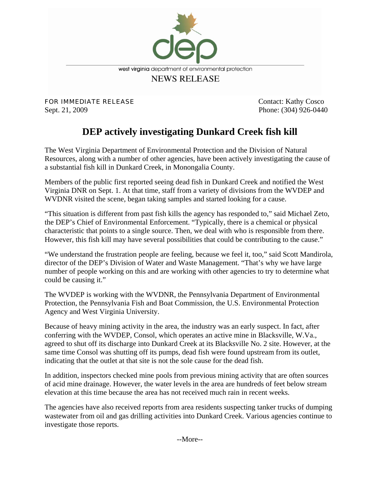

**FOR IMMEDIATE RELEASE CONTACT:** Kathy Cosco Sept. 21, 2009 Phone: (304) 926-0440

## **DEP actively investigating Dunkard Creek fish kill**

The West Virginia Department of Environmental Protection and the Division of Natural Resources, along with a number of other agencies, have been actively investigating the cause of a substantial fish kill in Dunkard Creek, in Monongalia County.

Members of the public first reported seeing dead fish in Dunkard Creek and notified the West Virginia DNR on Sept. 1. At that time, staff from a variety of divisions from the WVDEP and WVDNR visited the scene, began taking samples and started looking for a cause.

"This situation is different from past fish kills the agency has responded to," said Michael Zeto, the DEP's Chief of Environmental Enforcement. "Typically, there is a chemical or physical characteristic that points to a single source. Then, we deal with who is responsible from there. However, this fish kill may have several possibilities that could be contributing to the cause."

"We understand the frustration people are feeling, because we feel it, too," said Scott Mandirola, director of the DEP's Division of Water and Waste Management. "That's why we have large number of people working on this and are working with other agencies to try to determine what could be causing it."

The WVDEP is working with the WVDNR, the Pennsylvania Department of Environmental Protection, the Pennsylvania Fish and Boat Commission, the U.S. Environmental Protection Agency and West Virginia University.

Because of heavy mining activity in the area, the industry was an early suspect. In fact, after conferring with the WVDEP, Consol, which operates an active mine in Blacksville, W.Va., agreed to shut off its discharge into Dunkard Creek at its Blacksville No. 2 site. However, at the same time Consol was shutting off its pumps, dead fish were found upstream from its outlet, indicating that the outlet at that site is not the sole cause for the dead fish.

In addition, inspectors checked mine pools from previous mining activity that are often sources of acid mine drainage. However, the water levels in the area are hundreds of feet below stream elevation at this time because the area has not received much rain in recent weeks.

The agencies have also received reports from area residents suspecting tanker trucks of dumping wastewater from oil and gas drilling activities into Dunkard Creek. Various agencies continue to investigate those reports.

--More--